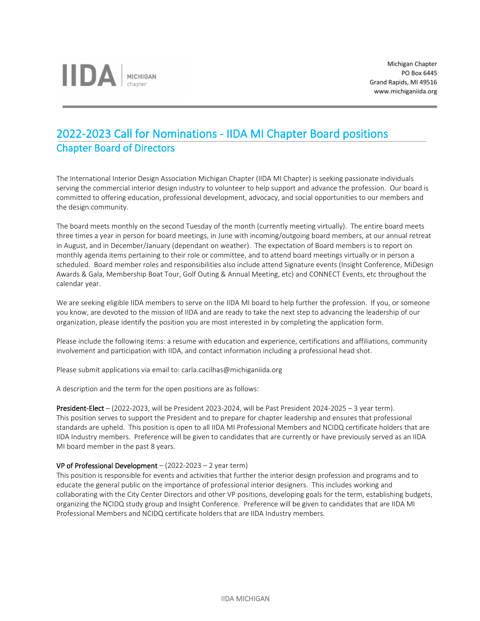# 2022-2023 Call for Nominations - IIDA MI Chapter Board positions Chapter Board of Directors

The International Interior Design Association Michigan Chapter (IIDA MI Chapter) is seeking passionate individuals serving the commercial interior design industry to volunteer to help support and advance the profession. Our board is committed to offering education, professional development, advocacy, and social opportunities to our members and the design community.

The board meets monthly on the second Tuesday of the month (currently meeting virtually). The entire board meets three times a year in person for board meetings, in June with incoming/outgoing board members, at our annual retreat in August, and in December/January (dependant on weather). The expectation of Board members is to report on monthly agenda items pertaining to their role or committee, and to attend board meetings virtually or in person a scheduled. Board member roles and responsibilities also include attend Signature events (Insight Conference, MiDesign Awards & Gala, Membership Boat Tour, Golf Outing & Annual Meeting, etc) and CONNECT Events, etc throughout the calendar year.

We are seeking eligible IIDA members to serve on the IIDA MI board to help further the profession. If you, or someone you know, are devoted to the mission of IIDA and are ready to take the next step to advancing the leadership of our organization, please identify the position you are most interested in by completing the application form.

Please include the following items: a resume with education and experience, certifications and affiliations, community involvement and participation with IIDA, and contact information including a professional head shot.

Please submit applications via email to: carla.cacilhas@michiganiida.org

A description and the term for the open positions are as follows:

President-Elect – (2022-2023, will be President 2023-2024, will be Past President 2024-2025 – 3 year term). This position serves to support the President and to prepare for chapter leadership and ensures that professional standards are upheld. This position is open to all IIDA MI Professional Members and NCIDQ certificate holders that are IIDA Industry members. Preference will be given to candidates that are currently or have previously served as an IIDA MI board member in the past 8 years.

## VP of Professional Development – (2022-2023 – 2 year term)

This position is responsible for events and activities that further the interior design profession and programs and to educate the general public on the importance of professional interior designers. This includes working and collaborating with the City Center Directors and other VP positions, developing goals for the term, establishing budgets, organizing the NCIDQ study group and Insight Conference. Preference will be given to candidates that are IIDA MI Professional Members and NCIDQ certificate holders that are IIDA Industry members.